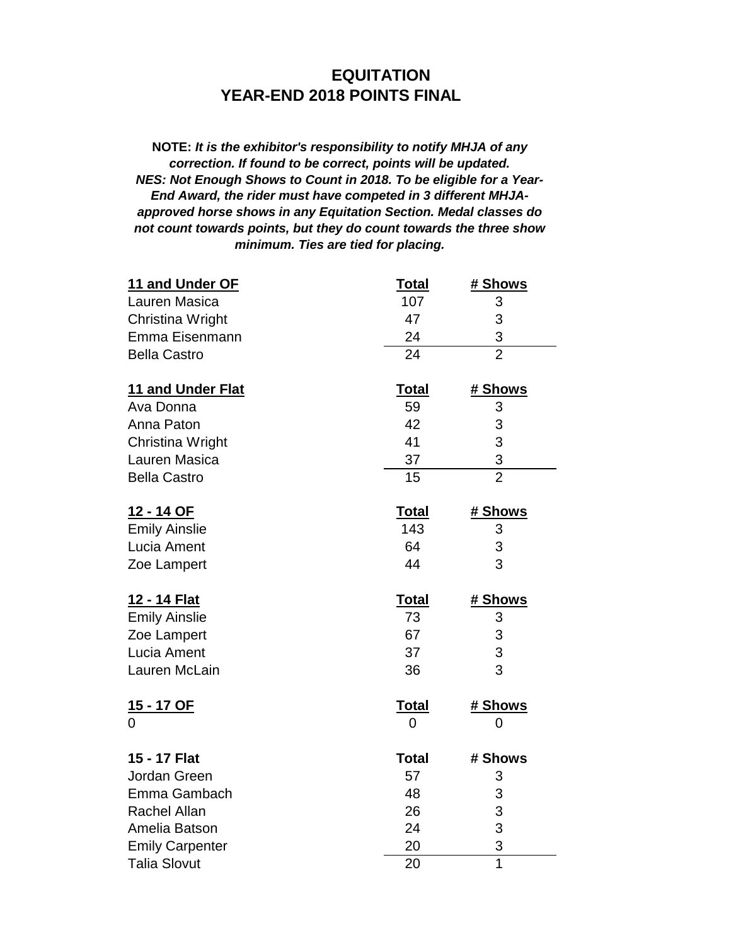## **EQUITATION YEAR-END 2018 POINTS FINAL**

**NOTE:** *It is the exhibitor's responsibility to notify MHJA of any correction. If found to be correct, points will be updated. NES: Not Enough Shows to Count in 2018. To be eligible for a Year-End Award, the rider must have competed in 3 different MHJAapproved horse shows in any Equitation Section. Medal classes do not count towards points, but they do count towards the three show minimum. Ties are tied for placing.*

| 11 and Under OF        | <b>Total</b> | <u># Shows</u> |
|------------------------|--------------|----------------|
| Lauren Masica          | 107          | 3              |
| Christina Wright       | 47           | 3              |
| Emma Eisenmann         | 24           | 3              |
| <b>Bella Castro</b>    | 24           | $\overline{2}$ |
| 11 and Under Flat      | <b>Total</b> | # Shows        |
| Ava Donna              | 59           | 3              |
| Anna Paton             | 42           | 3              |
| Christina Wright       | 41           | 3              |
| Lauren Masica          | 37           | 3              |
| <b>Bella Castro</b>    | 15           | $\overline{2}$ |
| 12 - 14 OF             | <b>Total</b> | <u># Shows</u> |
| <b>Emily Ainslie</b>   | 143          | 3              |
| Lucia Ament            | 64           | 3              |
| Zoe Lampert            | 44           | 3              |
| 12 - 14 Flat           | <b>Total</b> | # Shows        |
| <b>Emily Ainslie</b>   | 73           | 3              |
| Zoe Lampert            | 67           | 3              |
| Lucia Ament            | 37           | 3              |
| Lauren McLain          | 36           | 3              |
| <u>15 - 17 OF</u>      | <b>Total</b> | <u># Shows</u> |
| 0                      | 0            | 0              |
| 15 - 17 Flat           | <b>Total</b> | # Shows        |
| Jordan Green           | 57           | 3              |
| Emma Gambach           | 48           | 3              |
| <b>Rachel Allan</b>    | 26           | 3              |
| Amelia Batson          | 24           | 3              |
| <b>Emily Carpenter</b> | 20           | 3              |
| <b>Talia Slovut</b>    | 20           | $\overline{1}$ |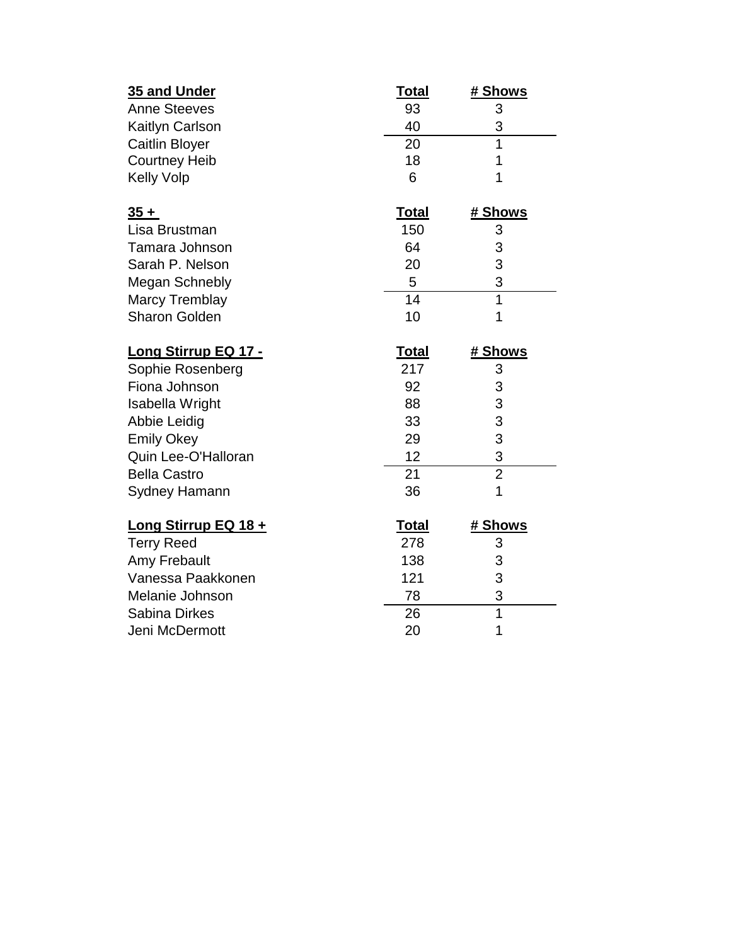| 35 and Under                | <u>Total</u> | # Shows        |
|-----------------------------|--------------|----------------|
| <b>Anne Steeves</b>         | 93           | 3              |
| Kaitlyn Carlson             | 40           | 3              |
| <b>Caitlin Bloyer</b>       | 20           | $\overline{1}$ |
| <b>Courtney Heib</b>        | 18           | 1              |
| <b>Kelly Volp</b>           | 6            | 1              |
| $\frac{35+}{2}$             | <b>Total</b> | <u># Shows</u> |
| Lisa Brustman               | 150          | 3              |
| Tamara Johnson              | 64           | 3              |
| Sarah P. Nelson             | 20           | 3              |
| <b>Megan Schnebly</b>       | 5            | 3              |
| <b>Marcy Tremblay</b>       | 14           | $\overline{1}$ |
| <b>Sharon Golden</b>        | 10           | 1              |
| <b>Long Stirrup EQ 17 -</b> | <b>Total</b> | # Shows        |
| Sophie Rosenberg            | 217          | 3              |
| Fiona Johnson               | 92           | 3              |
| Isabella Wright             | 88           | 3              |
| Abbie Leidig                | 33           | 3              |
| <b>Emily Okey</b>           | 29           | 3              |
| Quin Lee-O'Halloran         | 12           | 3              |
| <b>Bella Castro</b>         | 21           | $\overline{2}$ |
| <b>Sydney Hamann</b>        | 36           | 1              |
| Long Stirrup EQ 18 +        | <b>Total</b> | # Shows        |
| <b>Terry Reed</b>           | 278          | 3              |
| Amy Frebault                | 138          | 3              |
| Vanessa Paakkonen           | 121          | 3              |
| Melanie Johnson             | 78           | 3              |
| <b>Sabina Dirkes</b>        | 26           | $\overline{1}$ |
| Jeni McDermott              | 20           | 1              |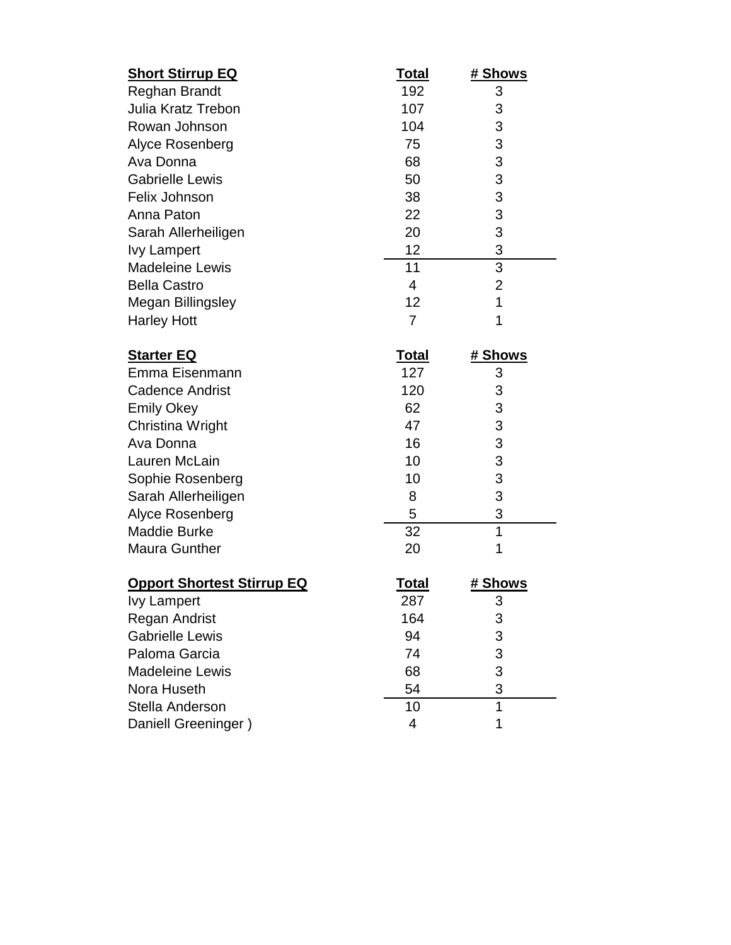| <b>Short Stirrup EQ</b>           | <u>Total</u>   | # Shows        |
|-----------------------------------|----------------|----------------|
| <b>Reghan Brandt</b>              | 192            | 3              |
| <b>Julia Kratz Trebon</b>         | 107            | 3              |
| Rowan Johnson                     | 104            | 3              |
| Alyce Rosenberg                   | 75             | 3              |
| Ava Donna                         | 68             | 3              |
| <b>Gabrielle Lewis</b>            | 50             | 3              |
| Felix Johnson                     | 38             | 3              |
| Anna Paton                        | 22             | 3              |
| Sarah Allerheiligen               | 20             | 3              |
| <b>Ivy Lampert</b>                | 12             | 3              |
| <b>Madeleine Lewis</b>            | 11             | $\overline{3}$ |
| <b>Bella Castro</b>               | 4              | $\overline{2}$ |
| Megan Billingsley                 | 12             | $\overline{1}$ |
| <b>Harley Hott</b>                | $\overline{7}$ | 1              |
| <b>Starter EQ</b>                 | <b>Total</b>   | # Shows        |
| Emma Eisenmann                    | 127            | 3              |
| <b>Cadence Andrist</b>            | 120            | 3              |
| <b>Emily Okey</b>                 | 62             | 3              |
| Christina Wright                  | 47             | 3              |
| Ava Donna                         | 16             | 3              |
| Lauren McLain                     | 10             | 3              |
| Sophie Rosenberg                  | 10             | 3              |
| Sarah Allerheiligen               | 8              | 3              |
| Alyce Rosenberg                   | 5              | 3              |
| <b>Maddie Burke</b>               | 32             | $\overline{1}$ |
| <b>Maura Gunther</b>              | 20             | 1              |
| <b>Opport Shortest Stirrup EQ</b> | <b>Total</b>   | # Shows        |
| <b>Ivy Lampert</b>                | 287            | 3              |
| Regan Andrist                     | 164            | 3              |
| <b>Gabrielle Lewis</b>            | 94             | 3              |
| Paloma Garcia                     | 74             | 3              |
| <b>Madeleine Lewis</b>            | 68             | 3              |

Nora Huseth 10 1 54 3<br>Stella Anderson 10 1 Stella Anderson 10 1

Daniell Greeninger )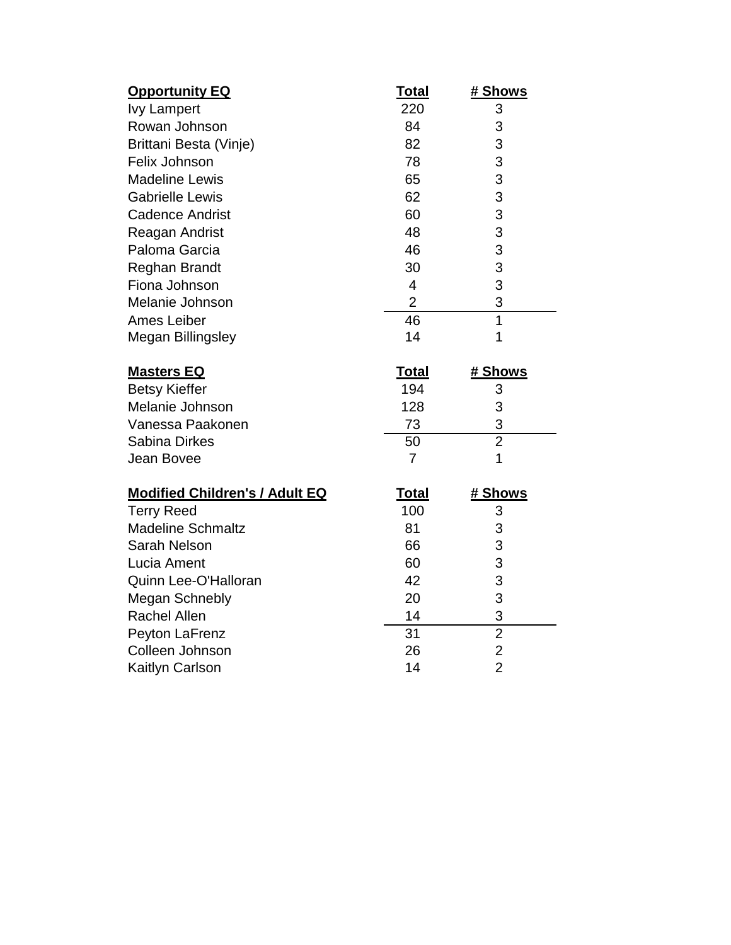| <b>Opportunity EQ</b>                 | <u>Total</u>   | <u># Shows</u>                   |
|---------------------------------------|----------------|----------------------------------|
| <b>Ivy Lampert</b>                    | 220            | 3                                |
| Rowan Johnson                         | 84             | 3                                |
| Brittani Besta (Vinje)                | 82             | 3                                |
| Felix Johnson                         | 78             | 3                                |
| <b>Madeline Lewis</b>                 | 65             | 3                                |
| <b>Gabrielle Lewis</b>                | 62             | 3                                |
| <b>Cadence Andrist</b>                | 60             | 3                                |
| Reagan Andrist                        | 48             | 3                                |
| Paloma Garcia                         | 46             | 3                                |
| Reghan Brandt                         | 30             | 3                                |
| Fiona Johnson                         | $\overline{4}$ | 3                                |
| Melanie Johnson                       | $\overline{2}$ | 3                                |
| <b>Ames Leiber</b>                    | 46             | $\overline{1}$                   |
| <b>Megan Billingsley</b>              | 14             | 1                                |
| <b>Masters EQ</b>                     | <b>Total</b>   | # Shows                          |
| <b>Betsy Kieffer</b>                  | 194            | 3                                |
| Melanie Johnson                       | 128            | 3                                |
| Vanessa Paakonen                      | 73             | 3                                |
| Sabina Dirkes                         | 50             | $\overline{2}$                   |
| Jean Bovee                            | $\overline{7}$ | $\mathbf 1$                      |
|                                       |                |                                  |
| <b>Modified Children's / Adult EQ</b> | <b>Total</b>   | # Shows                          |
| <b>Terry Reed</b>                     | 100            | 3                                |
| <b>Madeline Schmaltz</b>              | 81             | 3                                |
| Sarah Nelson                          | 66             | 3                                |
| Lucia Ament                           | 60             | 3                                |
| Quinn Lee-O'Halloran                  | 42             | 3                                |
| Megan Schnebly                        | 20             | 3                                |
| <b>Rachel Allen</b>                   | 14             | 3                                |
| Peyton LaFrenz                        |                |                                  |
|                                       | 31             | $\overline{2}$                   |
| Colleen Johnson<br>Kaitlyn Carlson    | 26             | $\overline{2}$<br>$\overline{2}$ |